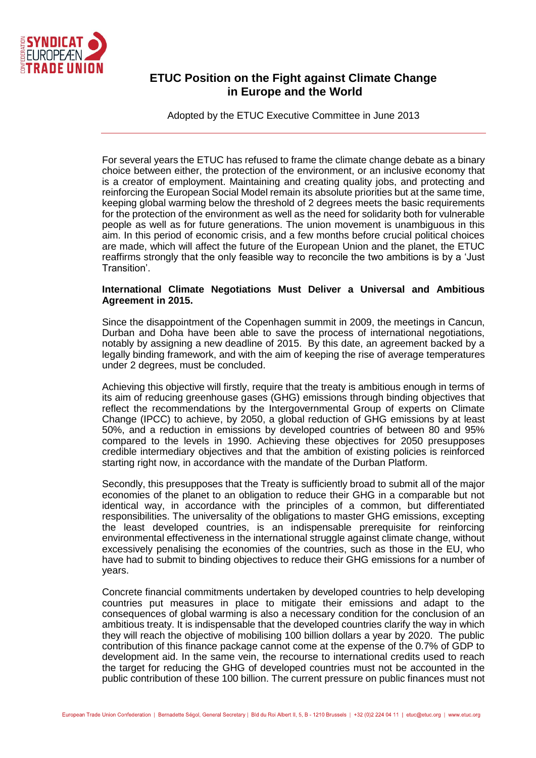

# **ETUC Position on the Fight against Climate Change in Europe and the World**

Adopted by the ETUC Executive Committee in June 2013

For several years the ETUC has refused to frame the climate change debate as a binary choice between either, the protection of the environment, or an inclusive economy that is a creator of employment. Maintaining and creating quality jobs, and protecting and reinforcing the European Social Model remain its absolute priorities but at the same time, keeping global warming below the threshold of 2 degrees meets the basic requirements for the protection of the environment as well as the need for solidarity both for vulnerable people as well as for future generations. The union movement is unambiguous in this aim. In this period of economic crisis, and a few months before crucial political choices are made, which will affect the future of the European Union and the planet, the ETUC reaffirms strongly that the only feasible way to reconcile the two ambitions is by a 'Just Transition'.

## **International Climate Negotiations Must Deliver a Universal and Ambitious Agreement in 2015.**

Since the disappointment of the Copenhagen summit in 2009, the meetings in Cancun, Durban and Doha have been able to save the process of international negotiations, notably by assigning a new deadline of 2015. By this date, an agreement backed by a legally binding framework, and with the aim of keeping the rise of average temperatures under 2 degrees, must be concluded.

Achieving this objective will firstly, require that the treaty is ambitious enough in terms of its aim of reducing greenhouse gases (GHG) emissions through binding objectives that reflect the recommendations by the Intergovernmental Group of experts on Climate Change (IPCC) to achieve, by 2050, a global reduction of GHG emissions by at least 50%, and a reduction in emissions by developed countries of between 80 and 95% compared to the levels in 1990. Achieving these objectives for 2050 presupposes credible intermediary objectives and that the ambition of existing policies is reinforced starting right now, in accordance with the mandate of the Durban Platform.

Secondly, this presupposes that the Treaty is sufficiently broad to submit all of the major economies of the planet to an obligation to reduce their GHG in a comparable but not identical way, in accordance with the principles of a common, but differentiated responsibilities. The universality of the obligations to master GHG emissions, excepting the least developed countries, is an indispensable prerequisite for reinforcing environmental effectiveness in the international struggle against climate change, without excessively penalising the economies of the countries, such as those in the EU, who have had to submit to binding objectives to reduce their GHG emissions for a number of years.

Concrete financial commitments undertaken by developed countries to help developing countries put measures in place to mitigate their emissions and adapt to the consequences of global warming is also a necessary condition for the conclusion of an ambitious treaty. It is indispensable that the developed countries clarify the way in which they will reach the objective of mobilising 100 billion dollars a year by 2020. The public contribution of this finance package cannot come at the expense of the 0.7% of GDP to development aid. In the same vein, the recourse to international credits used to reach the target for reducing the GHG of developed countries must not be accounted in the public contribution of these 100 billion. The current pressure on public finances must not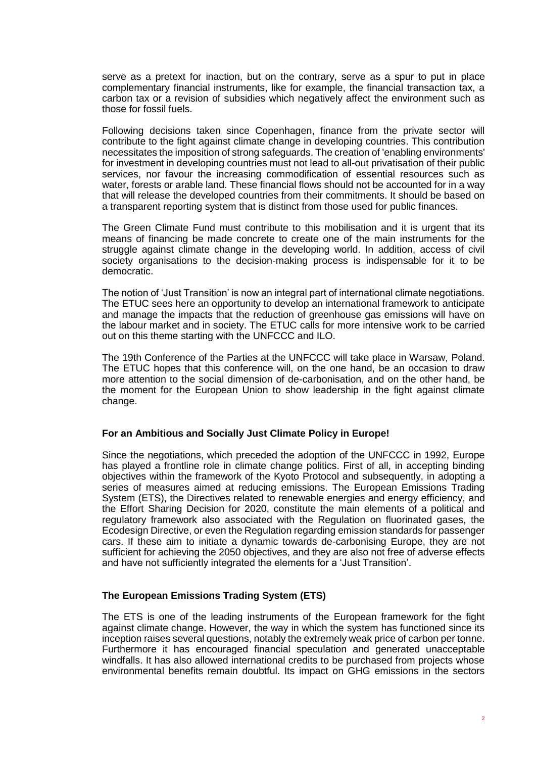serve as a pretext for inaction, but on the contrary, serve as a spur to put in place complementary financial instruments, like for example, the financial transaction tax, a carbon tax or a revision of subsidies which negatively affect the environment such as those for fossil fuels.

Following decisions taken since Copenhagen, finance from the private sector will contribute to the fight against climate change in developing countries. This contribution necessitates the imposition of strong safeguards. The creation of 'enabling environments' for investment in developing countries must not lead to all-out privatisation of their public services, nor favour the increasing commodification of essential resources such as water, forests or arable land. These financial flows should not be accounted for in a way that will release the developed countries from their commitments. It should be based on a transparent reporting system that is distinct from those used for public finances.

The Green Climate Fund must contribute to this mobilisation and it is urgent that its means of financing be made concrete to create one of the main instruments for the struggle against climate change in the developing world. In addition, access of civil society organisations to the decision-making process is indispensable for it to be democratic.

The notion of 'Just Transition' is now an integral part of international climate negotiations. The ETUC sees here an opportunity to develop an international framework to anticipate and manage the impacts that the reduction of greenhouse gas emissions will have on the labour market and in society. The ETUC calls for more intensive work to be carried out on this theme starting with the UNFCCC and ILO.

The 19th Conference of the Parties at the UNFCCC will take place in Warsaw, Poland. The ETUC hopes that this conference will, on the one hand, be an occasion to draw more attention to the social dimension of de-carbonisation, and on the other hand, be the moment for the European Union to show leadership in the fight against climate change.

### **For an Ambitious and Socially Just Climate Policy in Europe!**

Since the negotiations, which preceded the adoption of the UNFCCC in 1992, Europe has played a frontline role in climate change politics. First of all, in accepting binding objectives within the framework of the Kyoto Protocol and subsequently, in adopting a series of measures aimed at reducing emissions. The European Emissions Trading System (ETS), the Directives related to renewable energies and energy efficiency, and the Effort Sharing Decision for 2020, constitute the main elements of a political and regulatory framework also associated with the Regulation on fluorinated gases, the Ecodesign Directive, or even the Regulation regarding emission standards for passenger cars. If these aim to initiate a dynamic towards de-carbonising Europe, they are not sufficient for achieving the 2050 objectives, and they are also not free of adverse effects and have not sufficiently integrated the elements for a 'Just Transition'.

### **The European Emissions Trading System (ETS)**

The ETS is one of the leading instruments of the European framework for the fight against climate change. However, the way in which the system has functioned since its inception raises several questions, notably the extremely weak price of carbon per tonne. Furthermore it has encouraged financial speculation and generated unacceptable windfalls. It has also allowed international credits to be purchased from projects whose environmental benefits remain doubtful. Its impact on GHG emissions in the sectors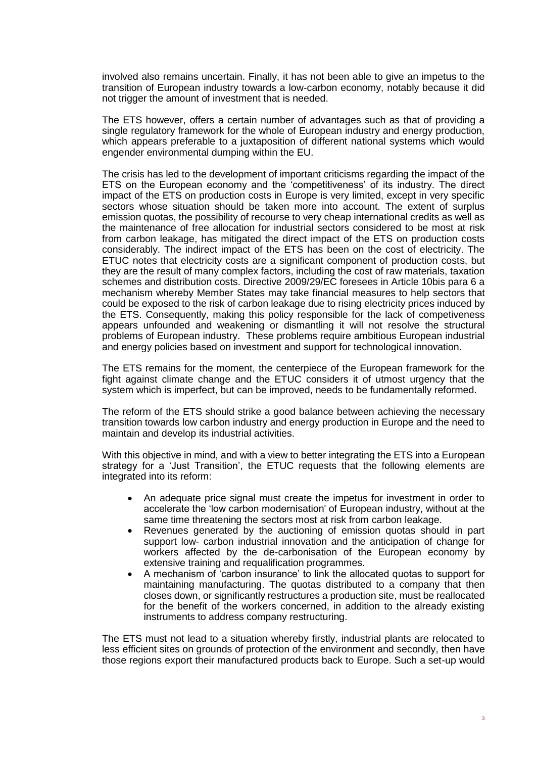involved also remains uncertain. Finally, it has not been able to give an impetus to the transition of European industry towards a low-carbon economy, notably because it did not trigger the amount of investment that is needed.

The ETS however, offers a certain number of advantages such as that of providing a single regulatory framework for the whole of European industry and energy production, which appears preferable to a juxtaposition of different national systems which would engender environmental dumping within the EU.

The crisis has led to the development of important criticisms regarding the impact of the ETS on the European economy and the 'competitiveness' of its industry. The direct impact of the ETS on production costs in Europe is very limited, except in very specific sectors whose situation should be taken more into account. The extent of surplus emission quotas, the possibility of recourse to very cheap international credits as well as the maintenance of free allocation for industrial sectors considered to be most at risk from carbon leakage, has mitigated the direct impact of the ETS on production costs considerably. The indirect impact of the ETS has been on the cost of electricity. The ETUC notes that electricity costs are a significant component of production costs, but they are the result of many complex factors, including the cost of raw materials, taxation schemes and distribution costs. Directive 2009/29/EC foresees in Article 10bis para 6 a mechanism whereby Member States may take financial measures to help sectors that could be exposed to the risk of carbon leakage due to rising electricity prices induced by the ETS. Consequently, making this policy responsible for the lack of competiveness appears unfounded and weakening or dismantling it will not resolve the structural problems of European industry. These problems require ambitious European industrial and energy policies based on investment and support for technological innovation.

The ETS remains for the moment, the centerpiece of the European framework for the fight against climate change and the ETUC considers it of utmost urgency that the system which is imperfect, but can be improved, needs to be fundamentally reformed.

The reform of the ETS should strike a good balance between achieving the necessary transition towards low carbon industry and energy production in Europe and the need to maintain and develop its industrial activities.

With this objective in mind, and with a view to better integrating the ETS into a European strategy for a 'Just Transition', the ETUC requests that the following elements are integrated into its reform:

- An adequate price signal must create the impetus for investment in order to accelerate the 'low carbon modernisation' of European industry, without at the same time threatening the sectors most at risk from carbon leakage.
- Revenues generated by the auctioning of emission quotas should in part support low- carbon industrial innovation and the anticipation of change for workers affected by the de-carbonisation of the European economy by extensive training and requalification programmes.
- A mechanism of 'carbon insurance' to link the allocated quotas to support for maintaining manufacturing. The quotas distributed to a company that then closes down, or significantly restructures a production site, must be reallocated for the benefit of the workers concerned, in addition to the already existing instruments to address company restructuring.

The ETS must not lead to a situation whereby firstly, industrial plants are relocated to less efficient sites on grounds of protection of the environment and secondly, then have those regions export their manufactured products back to Europe. Such a set-up would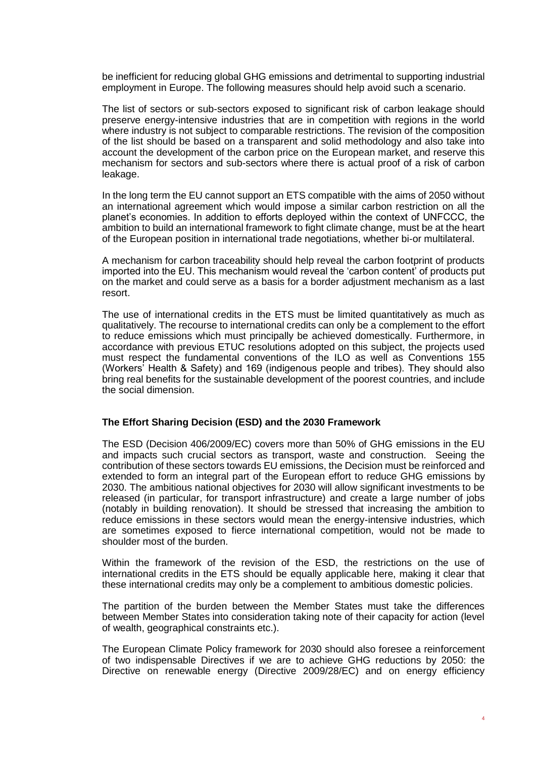be inefficient for reducing global GHG emissions and detrimental to supporting industrial employment in Europe. The following measures should help avoid such a scenario.

The list of sectors or sub-sectors exposed to significant risk of carbon leakage should preserve energy-intensive industries that are in competition with regions in the world where industry is not subject to comparable restrictions. The revision of the composition of the list should be based on a transparent and solid methodology and also take into account the development of the carbon price on the European market, and reserve this mechanism for sectors and sub-sectors where there is actual proof of a risk of carbon leakage.

In the long term the EU cannot support an ETS compatible with the aims of 2050 without an international agreement which would impose a similar carbon restriction on all the planet's economies. In addition to efforts deployed within the context of UNFCCC, the ambition to build an international framework to fight climate change, must be at the heart of the European position in international trade negotiations, whether bi-or multilateral.

A mechanism for carbon traceability should help reveal the carbon footprint of products imported into the EU. This mechanism would reveal the 'carbon content' of products put on the market and could serve as a basis for a border adjustment mechanism as a last resort.

The use of international credits in the ETS must be limited quantitatively as much as qualitatively. The recourse to international credits can only be a complement to the effort to reduce emissions which must principally be achieved domestically. Furthermore, in accordance with previous ETUC resolutions adopted on this subject, the projects used must respect the fundamental conventions of the ILO as well as Conventions 155 (Workers' Health & Safety) and 169 (indigenous people and tribes). They should also bring real benefits for the sustainable development of the poorest countries, and include the social dimension.

#### **The Effort Sharing Decision (ESD) and the 2030 Framework**

The ESD (Decision 406/2009/EC) covers more than 50% of GHG emissions in the EU and impacts such crucial sectors as transport, waste and construction. Seeing the contribution of these sectors towards EU emissions, the Decision must be reinforced and extended to form an integral part of the European effort to reduce GHG emissions by 2030. The ambitious national objectives for 2030 will allow significant investments to be released (in particular, for transport infrastructure) and create a large number of jobs (notably in building renovation). It should be stressed that increasing the ambition to reduce emissions in these sectors would mean the energy-intensive industries, which are sometimes exposed to fierce international competition, would not be made to shoulder most of the burden.

Within the framework of the revision of the ESD, the restrictions on the use of international credits in the ETS should be equally applicable here, making it clear that these international credits may only be a complement to ambitious domestic policies.

The partition of the burden between the Member States must take the differences between Member States into consideration taking note of their capacity for action (level of wealth, geographical constraints etc.).

The European Climate Policy framework for 2030 should also foresee a reinforcement of two indispensable Directives if we are to achieve GHG reductions by 2050: the Directive on renewable energy (Directive 2009/28/EC) and on energy efficiency